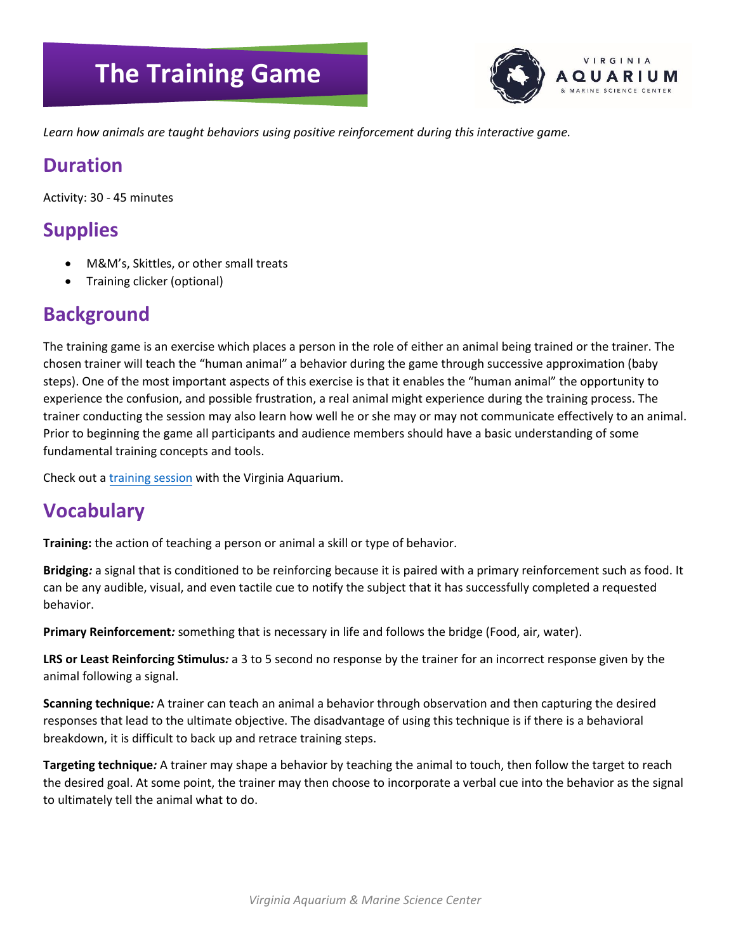# **The Training Game**



*Learn how animals are taught behaviors using positive reinforcement during this interactive game.* 

## **Duration**

Activity: 30 - 45 minutes

# **Supplies**

- M&M's, Skittles, or other small treats
- Training clicker (optional)

#### **Background**

The training game is an exercise which places a person in the role of either an animal being trained or the trainer. The chosen trainer will teach the "human animal" a behavior during the game through successive approximation (baby steps). One of the most important aspects of this exercise is that it enables the "human animal" the opportunity to experience the confusion, and possible frustration, a real animal might experience during the training process. The trainer conducting the session may also learn how well he or she may or may not communicate effectively to an animal. Prior to beginning the game all participants and audience members should have a basic understanding of some fundamental training concepts and tools.

Check out a [training session](https://www.facebook.com/VirginiaAquarium/videos/2594167100824470/) with the Virginia Aquarium.

## **Vocabulary**

**Training:** the action of teaching a person or animal a skill or type of behavior.

**Bridging***:* a signal that is conditioned to be reinforcing because it is paired with a primary reinforcement such as food. It can be any audible, visual, and even tactile cue to notify the subject that it has successfully completed a requested behavior.

**Primary Reinforcement***:* something that is necessary in life and follows the bridge (Food, air, water).

**LRS or Least Reinforcing Stimulus***:* a 3 to 5 second no response by the trainer for an incorrect response given by the animal following a signal.

**Scanning technique***:* A trainer can teach an animal a behavior through observation and then capturing the desired responses that lead to the ultimate objective. The disadvantage of using this technique is if there is a behavioral breakdown, it is difficult to back up and retrace training steps.

**Targeting technique***:* A trainer may shape a behavior by teaching the animal to touch, then follow the target to reach the desired goal. At some point, the trainer may then choose to incorporate a verbal cue into the behavior as the signal to ultimately tell the animal what to do.